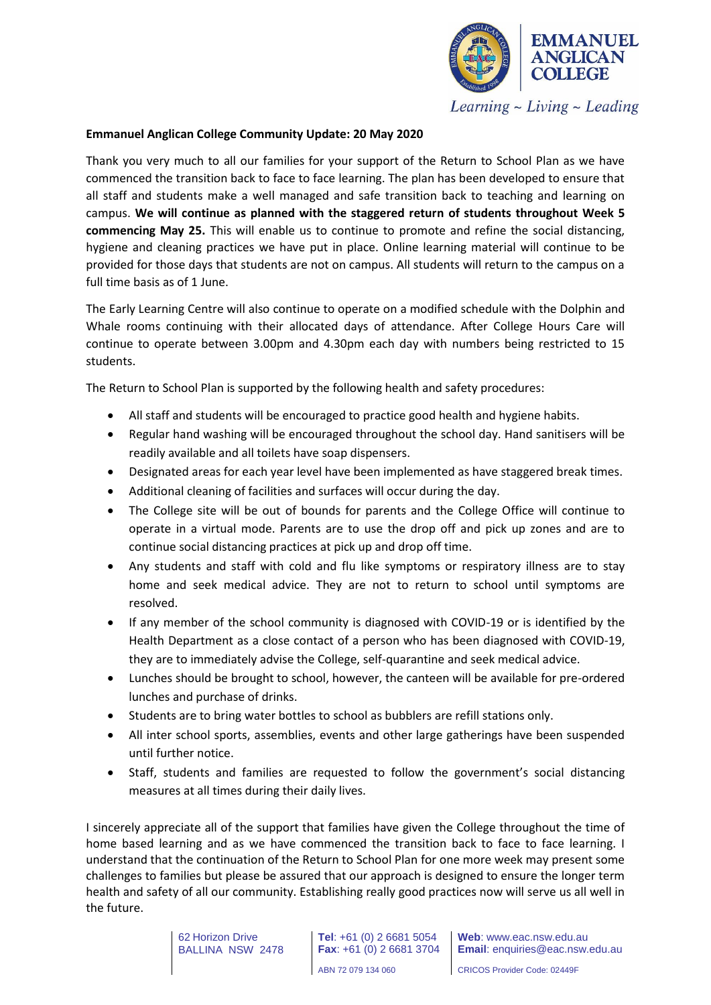

Learning  $\sim$  Living  $\sim$  Leading

## **Emmanuel Anglican College Community Update: 20 May 2020**

Thank you very much to all our families for your support of the Return to School Plan as we have commenced the transition back to face to face learning. The plan has been developed to ensure that all staff and students make a well managed and safe transition back to teaching and learning on campus. **We will continue as planned with the staggered return of students throughout Week 5 commencing May 25.** This will enable us to continue to promote and refine the social distancing, hygiene and cleaning practices we have put in place. Online learning material will continue to be provided for those days that students are not on campus. All students will return to the campus on a full time basis as of 1 June.

The Early Learning Centre will also continue to operate on a modified schedule with the Dolphin and Whale rooms continuing with their allocated days of attendance. After College Hours Care will continue to operate between 3.00pm and 4.30pm each day with numbers being restricted to 15 students.

The Return to School Plan is supported by the following health and safety procedures:

- All staff and students will be encouraged to practice good health and hygiene habits.
- Regular hand washing will be encouraged throughout the school day. Hand sanitisers will be readily available and all toilets have soap dispensers.
- Designated areas for each year level have been implemented as have staggered break times.
- Additional cleaning of facilities and surfaces will occur during the day.
- The College site will be out of bounds for parents and the College Office will continue to operate in a virtual mode. Parents are to use the drop off and pick up zones and are to continue social distancing practices at pick up and drop off time.
- Any students and staff with cold and flu like symptoms or respiratory illness are to stay home and seek medical advice. They are not to return to school until symptoms are resolved.
- If any member of the school community is diagnosed with COVID-19 or is identified by the Health Department as a close contact of a person who has been diagnosed with COVID-19, they are to immediately advise the College, self-quarantine and seek medical advice.
- Lunches should be brought to school, however, the canteen will be available for pre-ordered lunches and purchase of drinks.
- Students are to bring water bottles to school as bubblers are refill stations only.
- All inter school sports, assemblies, events and other large gatherings have been suspended until further notice.
- Staff, students and families are requested to follow the government's social distancing measures at all times during their daily lives.

I sincerely appreciate all of the support that families have given the College throughout the time of home based learning and as we have commenced the transition back to face to face learning. I understand that the continuation of the Return to School Plan for one more week may present some challenges to families but please be assured that our approach is designed to ensure the longer term health and safety of all our community. Establishing really good practices now will serve us all well in the future.